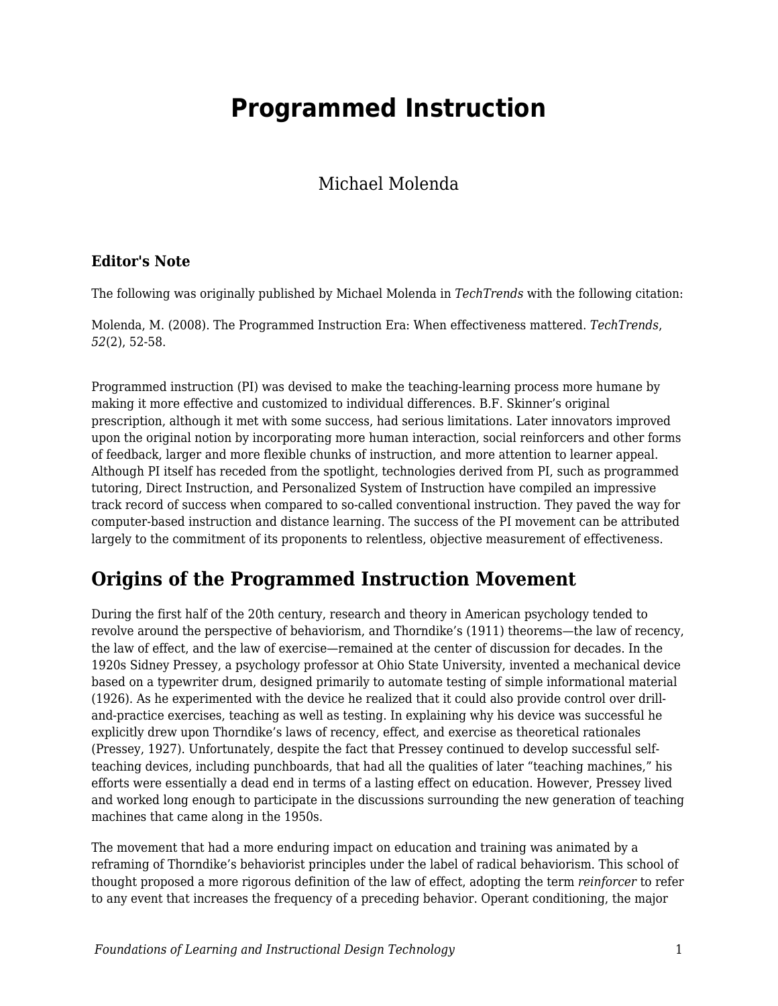# **Programmed Instruction**

Michael Molenda

#### **Editor's Note**

The following was originally published by Michael Molenda in *TechTrends* with the following citation:

Molenda, M. (2008). The Programmed Instruction Era: When effectiveness mattered. *TechTrends*, *52*(2), 52-58.

Programmed instruction (PI) was devised to make the teaching-learning process more humane by making it more effective and customized to individual differences. B.F. Skinner's original prescription, although it met with some success, had serious limitations. Later innovators improved upon the original notion by incorporating more human interaction, social reinforcers and other forms of feedback, larger and more flexible chunks of instruction, and more attention to learner appeal. Although PI itself has receded from the spotlight, technologies derived from PI, such as programmed tutoring, Direct Instruction, and Personalized System of Instruction have compiled an impressive track record of success when compared to so-called conventional instruction. They paved the way for computer-based instruction and distance learning. The success of the PI movement can be attributed largely to the commitment of its proponents to relentless, objective measurement of effectiveness.

## **Origins of the Programmed Instruction Movement**

During the first half of the 20th century, research and theory in American psychology tended to revolve around the perspective of behaviorism, and Thorndike's (1911) theorems—the law of recency, the law of effect, and the law of exercise—remained at the center of discussion for decades. In the 1920s Sidney Pressey, a psychology professor at Ohio State University, invented a mechanical device based on a typewriter drum, designed primarily to automate testing of simple informational material (1926). As he experimented with the device he realized that it could also provide control over drilland-practice exercises, teaching as well as testing. In explaining why his device was successful he explicitly drew upon Thorndike's laws of recency, effect, and exercise as theoretical rationales (Pressey, 1927). Unfortunately, despite the fact that Pressey continued to develop successful selfteaching devices, including punchboards, that had all the qualities of later "teaching machines," his efforts were essentially a dead end in terms of a lasting effect on education. However, Pressey lived and worked long enough to participate in the discussions surrounding the new generation of teaching machines that came along in the 1950s.

The movement that had a more enduring impact on education and training was animated by a reframing of Thorndike's behaviorist principles under the label of radical behaviorism. This school of thought proposed a more rigorous definition of the law of effect, adopting the term *reinforcer* to refer to any event that increases the frequency of a preceding behavior. Operant conditioning, the major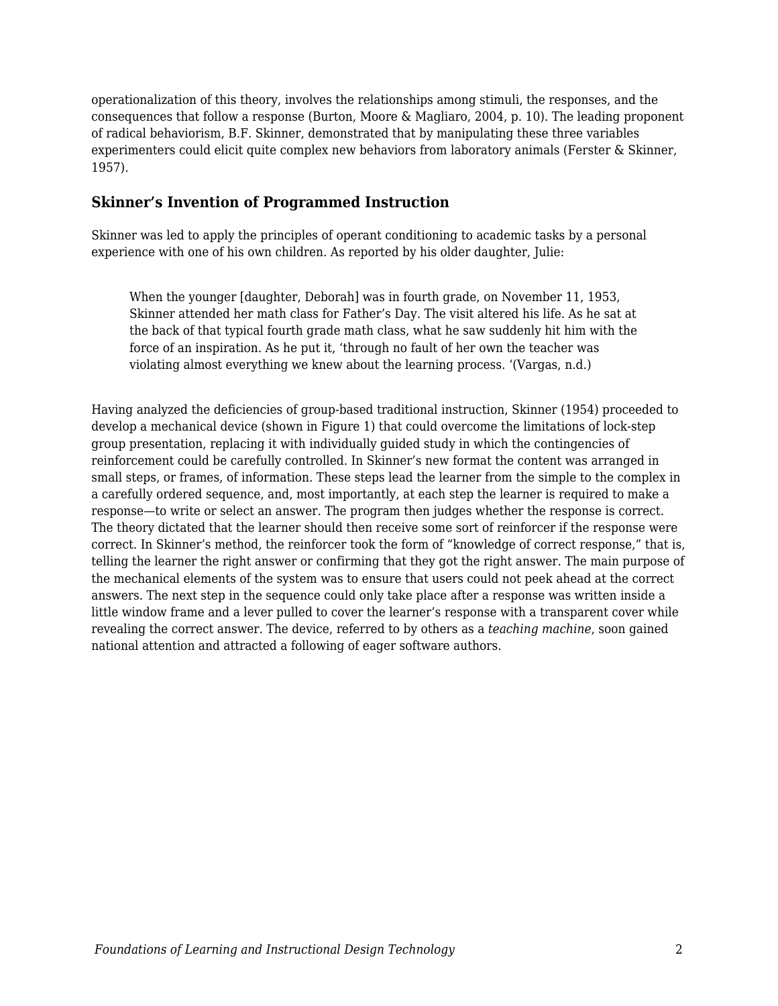operationalization of this theory, involves the relationships among stimuli, the responses, and the consequences that follow a response (Burton, Moore & Magliaro, 2004, p. 10). The leading proponent of radical behaviorism, B.F. Skinner, demonstrated that by manipulating these three variables experimenters could elicit quite complex new behaviors from laboratory animals (Ferster & Skinner, 1957).

#### **Skinner's Invention of Programmed Instruction**

Skinner was led to apply the principles of operant conditioning to academic tasks by a personal experience with one of his own children. As reported by his older daughter, Julie:

When the younger [daughter, Deborah] was in fourth grade, on November 11, 1953, Skinner attended her math class for Father's Day. The visit altered his life. As he sat at the back of that typical fourth grade math class, what he saw suddenly hit him with the force of an inspiration. As he put it, 'through no fault of her own the teacher was violating almost everything we knew about the learning process. '(Vargas, n.d.)

Having analyzed the deficiencies of group-based traditional instruction, Skinner (1954) proceeded to develop a mechanical device (shown in Figure 1) that could overcome the limitations of lock-step group presentation, replacing it with individually guided study in which the contingencies of reinforcement could be carefully controlled. In Skinner's new format the content was arranged in small steps, or frames, of information. These steps lead the learner from the simple to the complex in a carefully ordered sequence, and, most importantly, at each step the learner is required to make a response—to write or select an answer. The program then judges whether the response is correct. The theory dictated that the learner should then receive some sort of reinforcer if the response were correct. In Skinner's method, the reinforcer took the form of "knowledge of correct response," that is, telling the learner the right answer or confirming that they got the right answer. The main purpose of the mechanical elements of the system was to ensure that users could not peek ahead at the correct answers. The next step in the sequence could only take place after a response was written inside a little window frame and a lever pulled to cover the learner's response with a transparent cover while revealing the correct answer. The device, referred to by others as a *teaching machine*, soon gained national attention and attracted a following of eager software authors.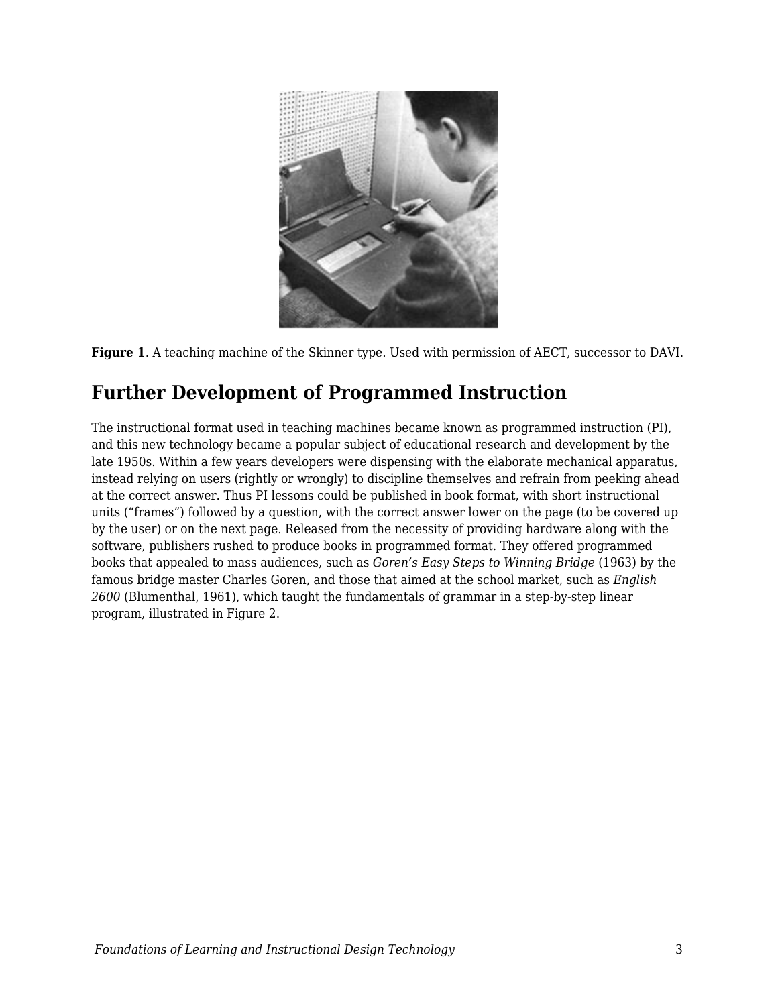



# **Further Development of Programmed Instruction**

The instructional format used in teaching machines became known as programmed instruction (PI), and this new technology became a popular subject of educational research and development by the late 1950s. Within a few years developers were dispensing with the elaborate mechanical apparatus, instead relying on users (rightly or wrongly) to discipline themselves and refrain from peeking ahead at the correct answer. Thus PI lessons could be published in book format, with short instructional units ("frames") followed by a question, with the correct answer lower on the page (to be covered up by the user) or on the next page. Released from the necessity of providing hardware along with the software, publishers rushed to produce books in programmed format. They offered programmed books that appealed to mass audiences, such as *Goren's Easy Steps to Winning Bridge* (1963) by the famous bridge master Charles Goren, and those that aimed at the school market, such as *English 2600* (Blumenthal, 1961), which taught the fundamentals of grammar in a step-by-step linear program, illustrated in Figure 2.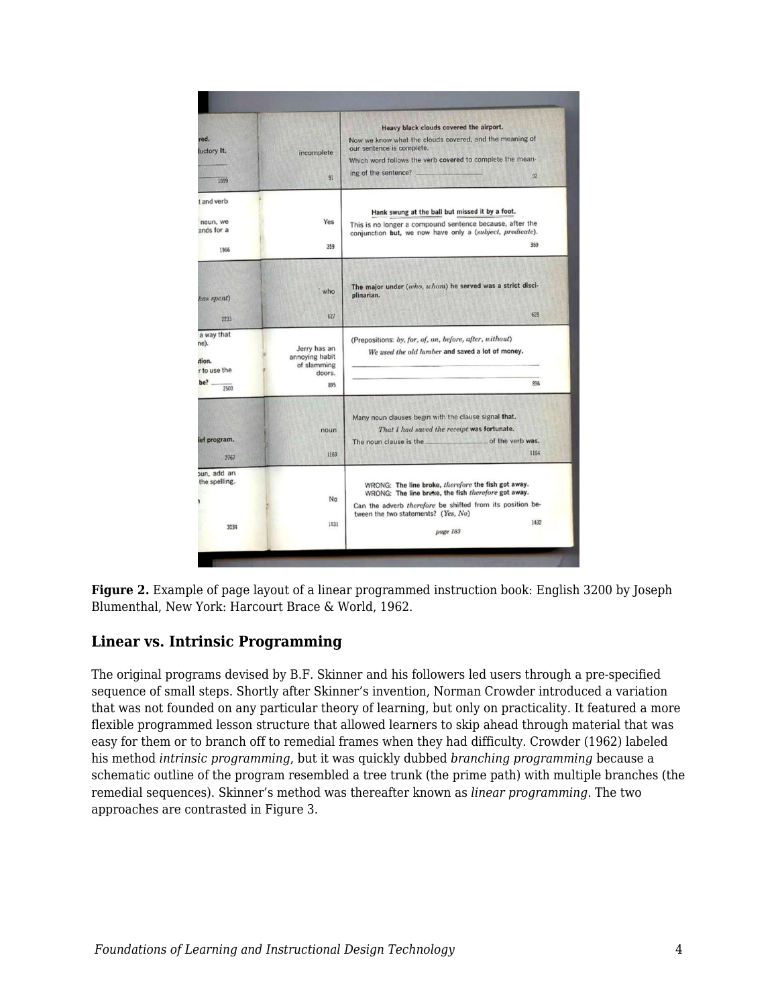| red.<br>luctory It.<br>1599                                | incomplete<br>91                                               | Heavy black clouds covered the airport.<br>Now we know what the clouds covered, and the meaning of<br>our sentence is complete.<br>Which word follows the verb covered to complete the mean-<br>ing of the sentence?<br>92         |
|------------------------------------------------------------|----------------------------------------------------------------|------------------------------------------------------------------------------------------------------------------------------------------------------------------------------------------------------------------------------------|
| t and verb<br>noun, we<br>ands for a<br>1966               | Yes<br>359                                                     | Hank swung at the ball but missed it by a foot.<br>This is no longer a compound sentence because, after the<br>conjunction but, we now have only a (subject, predicate).<br>350                                                    |
| has spent)<br>2233                                         | who<br>627                                                     | The major under (who, whom) he served was a strict disci-<br>plinarian.<br>628                                                                                                                                                     |
| a way that<br>ne).<br>tion.<br>r to use the<br>be?<br>2500 | Jerry has an<br>annoying habit<br>of slamming<br>doors.<br>895 | (Prepositions: by, for, of, on, before, after, without)<br>We used the old lumber and saved a lot of money.<br>896                                                                                                                 |
| ief program.<br>2767                                       | noun<br>1163                                                   | Many noun clauses begin with the clause signal that.<br>That I had saved the receipt was fortunate.<br>The noun clause is the same set of the verb was.<br>1164                                                                    |
| oun, add an<br>the spelling.<br>3034                       | No<br>1431                                                     | WRONG: The line broke, therefore the fish got away.<br>WRONG: The line breke, the fish therefore got away.<br>Can the adverb therefore be shifted from its position be-<br>tween the two statements? (Yes, No)<br>1432<br>page 183 |

**Figure 2.** Example of page layout of a linear programmed instruction book: English 3200 by Joseph Blumenthal, New York: Harcourt Brace & World, 1962.

#### **Linear vs. Intrinsic Programming**

The original programs devised by B.F. Skinner and his followers led users through a pre-specified sequence of small steps. Shortly after Skinner's invention, Norman Crowder introduced a variation that was not founded on any particular theory of learning, but only on practicality. It featured a more flexible programmed lesson structure that allowed learners to skip ahead through material that was easy for them or to branch off to remedial frames when they had difficulty. Crowder (1962) labeled his method *intrinsic programming*, but it was quickly dubbed *branching programming* because a schematic outline of the program resembled a tree trunk (the prime path) with multiple branches (the remedial sequences). Skinner's method was thereafter known as *linear programming*. The two approaches are contrasted in Figure 3.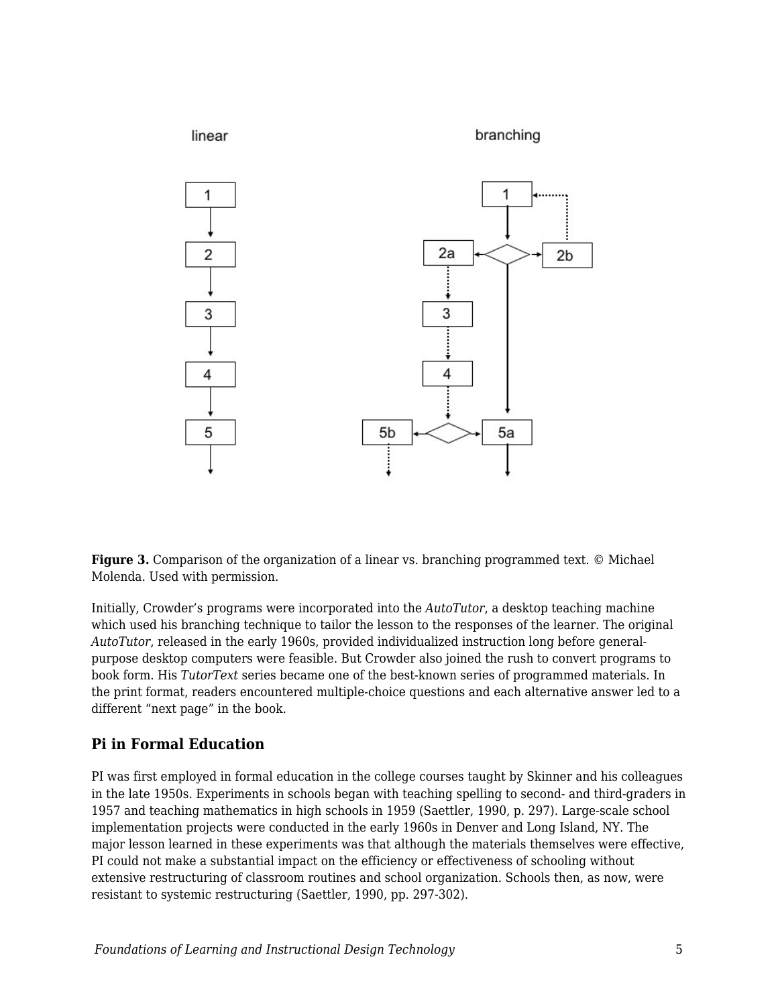

**Figure 3.** Comparison of the organization of a linear vs. branching programmed text. © Michael Molenda. Used with permission.

Initially, Crowder's programs were incorporated into the *AutoTutor*, a desktop teaching machine which used his branching technique to tailor the lesson to the responses of the learner. The original *AutoTutor*, released in the early 1960s, provided individualized instruction long before generalpurpose desktop computers were feasible. But Crowder also joined the rush to convert programs to book form. His *TutorText* series became one of the best-known series of programmed materials. In the print format, readers encountered multiple-choice questions and each alternative answer led to a different "next page" in the book.

#### **Pi in Formal Education**

PI was first employed in formal education in the college courses taught by Skinner and his colleagues in the late 1950s. Experiments in schools began with teaching spelling to second- and third-graders in 1957 and teaching mathematics in high schools in 1959 (Saettler, 1990, p. 297). Large-scale school implementation projects were conducted in the early 1960s in Denver and Long Island, NY. The major lesson learned in these experiments was that although the materials themselves were effective, PI could not make a substantial impact on the efficiency or effectiveness of schooling without extensive restructuring of classroom routines and school organization. Schools then, as now, were resistant to systemic restructuring (Saettler, 1990, pp. 297-302).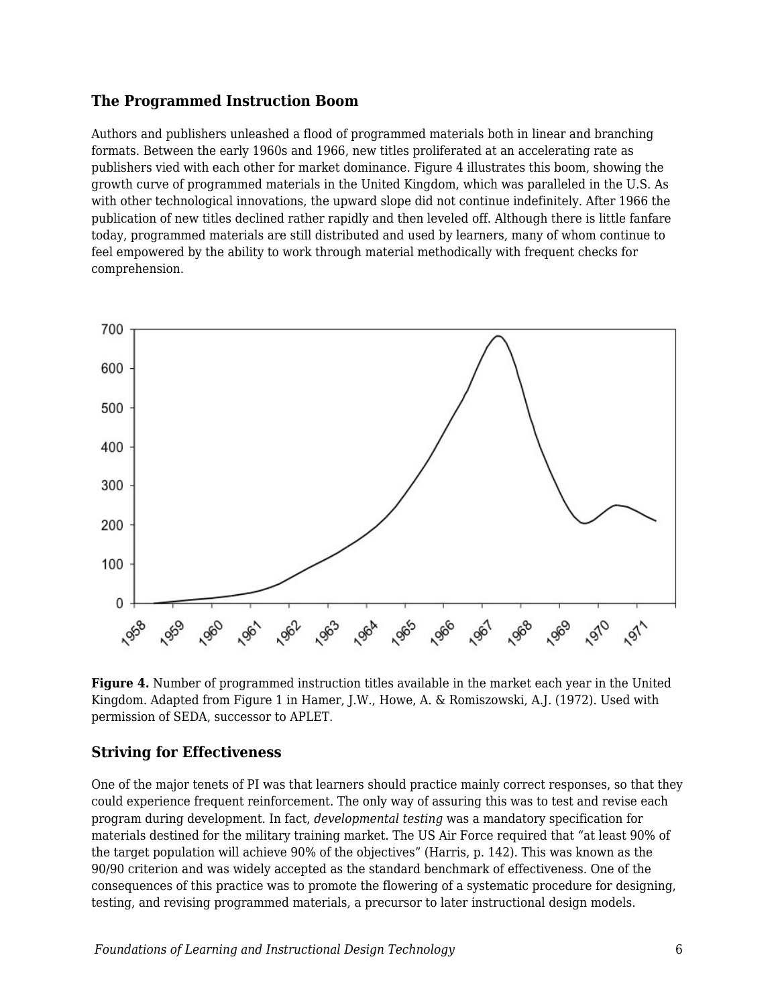#### **The Programmed Instruction Boom**

Authors and publishers unleashed a flood of programmed materials both in linear and branching formats. Between the early 1960s and 1966, new titles proliferated at an accelerating rate as publishers vied with each other for market dominance. Figure 4 illustrates this boom, showing the growth curve of programmed materials in the United Kingdom, which was paralleled in the U.S. As with other technological innovations, the upward slope did not continue indefinitely. After 1966 the publication of new titles declined rather rapidly and then leveled off. Although there is little fanfare today, programmed materials are still distributed and used by learners, many of whom continue to feel empowered by the ability to work through material methodically with frequent checks for comprehension.



**Figure 4.** Number of programmed instruction titles available in the market each year in the United Kingdom. Adapted from Figure 1 in Hamer, J.W., Howe, A. & Romiszowski, A.J. (1972). Used with permission of SEDA, successor to APLET.

#### **Striving for Effectiveness**

One of the major tenets of PI was that learners should practice mainly correct responses, so that they could experience frequent reinforcement. The only way of assuring this was to test and revise each program during development. In fact, *developmental testing* was a mandatory specification for materials destined for the military training market. The US Air Force required that "at least 90% of the target population will achieve 90% of the objectives" (Harris, p. 142). This was known as the 90/90 criterion and was widely accepted as the standard benchmark of effectiveness. One of the consequences of this practice was to promote the flowering of a systematic procedure for designing, testing, and revising programmed materials, a precursor to later instructional design models.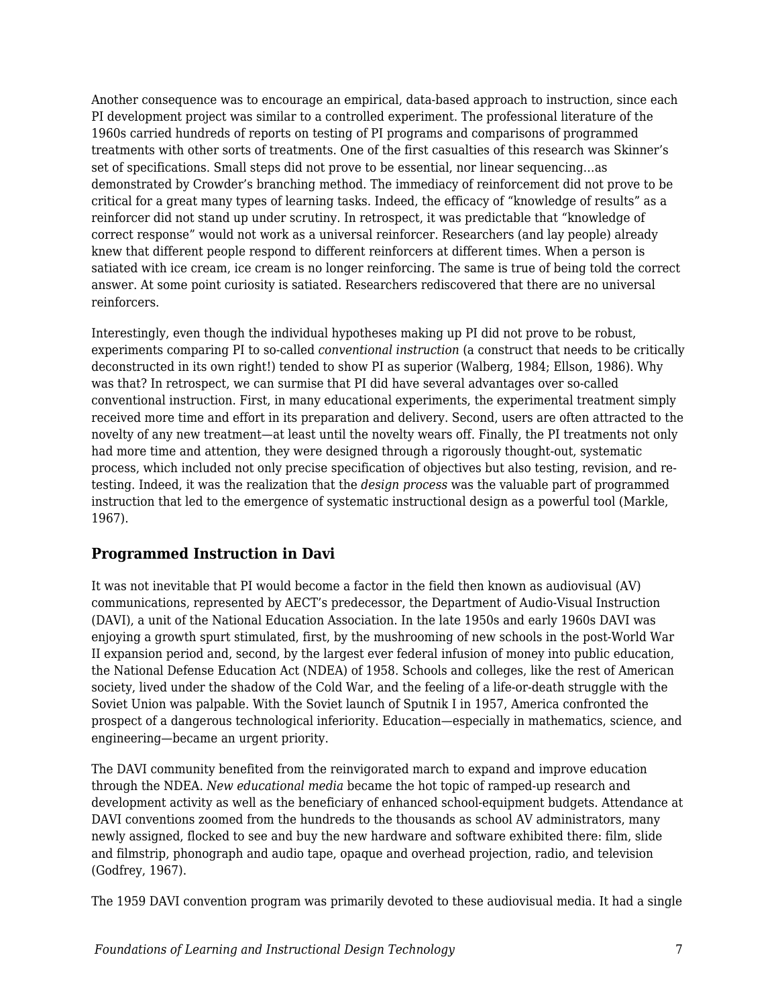Another consequence was to encourage an empirical, data-based approach to instruction, since each PI development project was similar to a controlled experiment. The professional literature of the 1960s carried hundreds of reports on testing of PI programs and comparisons of programmed treatments with other sorts of treatments. One of the first casualties of this research was Skinner's set of specifications. Small steps did not prove to be essential, nor linear sequencing…as demonstrated by Crowder's branching method. The immediacy of reinforcement did not prove to be critical for a great many types of learning tasks. Indeed, the efficacy of "knowledge of results" as a reinforcer did not stand up under scrutiny. In retrospect, it was predictable that "knowledge of correct response" would not work as a universal reinforcer. Researchers (and lay people) already knew that different people respond to different reinforcers at different times. When a person is satiated with ice cream, ice cream is no longer reinforcing. The same is true of being told the correct answer. At some point curiosity is satiated. Researchers rediscovered that there are no universal reinforcers.

Interestingly, even though the individual hypotheses making up PI did not prove to be robust, experiments comparing PI to so-called *conventional instruction* (a construct that needs to be critically deconstructed in its own right!) tended to show PI as superior (Walberg, 1984; Ellson, 1986). Why was that? In retrospect, we can surmise that PI did have several advantages over so-called conventional instruction. First, in many educational experiments, the experimental treatment simply received more time and effort in its preparation and delivery. Second, users are often attracted to the novelty of any new treatment—at least until the novelty wears off. Finally, the PI treatments not only had more time and attention, they were designed through a rigorously thought-out, systematic process, which included not only precise specification of objectives but also testing, revision, and retesting. Indeed, it was the realization that the *design process* was the valuable part of programmed instruction that led to the emergence of systematic instructional design as a powerful tool (Markle, 1967).

#### **Programmed Instruction in Davi**

It was not inevitable that PI would become a factor in the field then known as audiovisual (AV) communications, represented by AECT's predecessor, the Department of Audio-Visual Instruction (DAVI), a unit of the National Education Association. In the late 1950s and early 1960s DAVI was enjoying a growth spurt stimulated, first, by the mushrooming of new schools in the post-World War II expansion period and, second, by the largest ever federal infusion of money into public education, the National Defense Education Act (NDEA) of 1958. Schools and colleges, like the rest of American society, lived under the shadow of the Cold War, and the feeling of a life-or-death struggle with the Soviet Union was palpable. With the Soviet launch of Sputnik I in 1957, America confronted the prospect of a dangerous technological inferiority. Education—especially in mathematics, science, and engineering—became an urgent priority.

The DAVI community benefited from the reinvigorated march to expand and improve education through the NDEA. *New educational media* became the hot topic of ramped-up research and development activity as well as the beneficiary of enhanced school-equipment budgets. Attendance at DAVI conventions zoomed from the hundreds to the thousands as school AV administrators, many newly assigned, flocked to see and buy the new hardware and software exhibited there: film, slide and filmstrip, phonograph and audio tape, opaque and overhead projection, radio, and television (Godfrey, 1967).

The 1959 DAVI convention program was primarily devoted to these audiovisual media. It had a single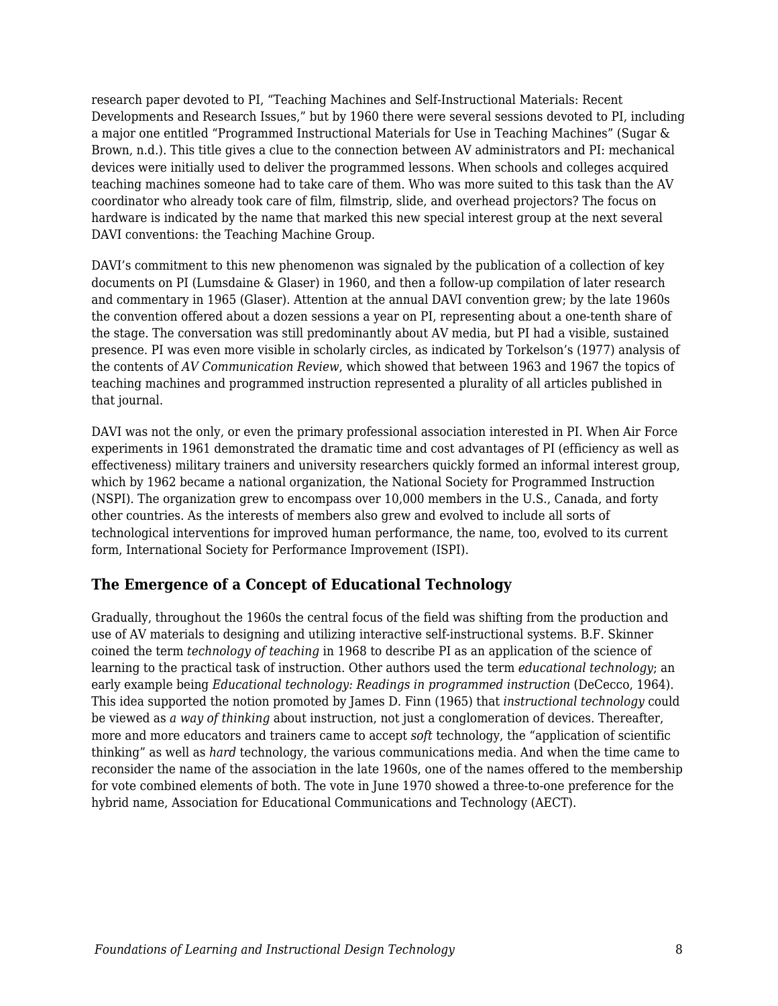research paper devoted to PI, "Teaching Machines and Self-Instructional Materials: Recent Developments and Research Issues," but by 1960 there were several sessions devoted to PI, including a major one entitled "Programmed Instructional Materials for Use in Teaching Machines" (Sugar & Brown, n.d.). This title gives a clue to the connection between AV administrators and PI: mechanical devices were initially used to deliver the programmed lessons. When schools and colleges acquired teaching machines someone had to take care of them. Who was more suited to this task than the AV coordinator who already took care of film, filmstrip, slide, and overhead projectors? The focus on hardware is indicated by the name that marked this new special interest group at the next several DAVI conventions: the Teaching Machine Group.

DAVI's commitment to this new phenomenon was signaled by the publication of a collection of key documents on PI (Lumsdaine & Glaser) in 1960, and then a follow-up compilation of later research and commentary in 1965 (Glaser). Attention at the annual DAVI convention grew; by the late 1960s the convention offered about a dozen sessions a year on PI, representing about a one-tenth share of the stage. The conversation was still predominantly about AV media, but PI had a visible, sustained presence. PI was even more visible in scholarly circles, as indicated by Torkelson's (1977) analysis of the contents of *AV Communication Review*, which showed that between 1963 and 1967 the topics of teaching machines and programmed instruction represented a plurality of all articles published in that journal.

DAVI was not the only, or even the primary professional association interested in PI. When Air Force experiments in 1961 demonstrated the dramatic time and cost advantages of PI (efficiency as well as effectiveness) military trainers and university researchers quickly formed an informal interest group, which by 1962 became a national organization, the National Society for Programmed Instruction (NSPI). The organization grew to encompass over 10,000 members in the U.S., Canada, and forty other countries. As the interests of members also grew and evolved to include all sorts of technological interventions for improved human performance, the name, too, evolved to its current form, International Society for Performance Improvement (ISPI).

#### **The Emergence of a Concept of Educational Technology**

Gradually, throughout the 1960s the central focus of the field was shifting from the production and use of AV materials to designing and utilizing interactive self-instructional systems. B.F. Skinner coined the term *technology of teaching* in 1968 to describe PI as an application of the science of learning to the practical task of instruction. Other authors used the term *educational technology*; an early example being *Educational technology: Readings in programmed instruction* (DeCecco, 1964). This idea supported the notion promoted by James D. Finn (1965) that *instructional technology* could be viewed as *a way of thinking* about instruction, not just a conglomeration of devices. Thereafter, more and more educators and trainers came to accept *soft* technology, the "application of scientific thinking" as well as *hard* technology, the various communications media. And when the time came to reconsider the name of the association in the late 1960s, one of the names offered to the membership for vote combined elements of both. The vote in June 1970 showed a three-to-one preference for the hybrid name, Association for Educational Communications and Technology (AECT).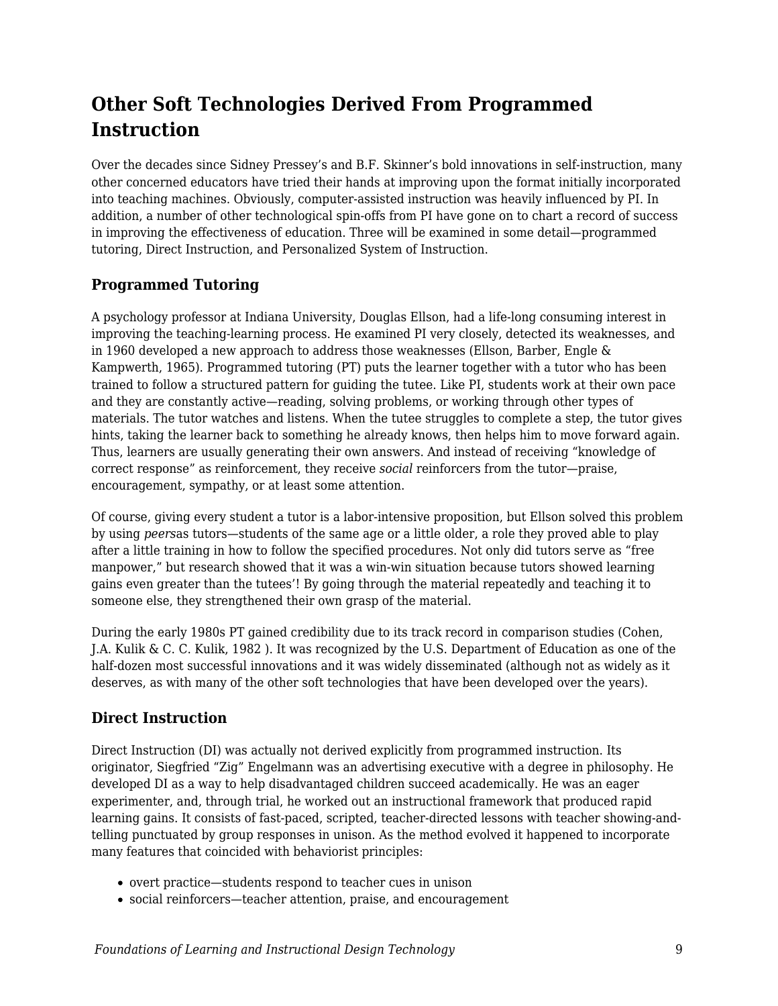# **Other Soft Technologies Derived From Programmed Instruction**

Over the decades since Sidney Pressey's and B.F. Skinner's bold innovations in self-instruction, many other concerned educators have tried their hands at improving upon the format initially incorporated into teaching machines. Obviously, computer-assisted instruction was heavily influenced by PI. In addition, a number of other technological spin-offs from PI have gone on to chart a record of success in improving the effectiveness of education. Three will be examined in some detail—programmed tutoring, Direct Instruction, and Personalized System of Instruction.

### **Programmed Tutoring**

A psychology professor at Indiana University, Douglas Ellson, had a life-long consuming interest in improving the teaching-learning process. He examined PI very closely, detected its weaknesses, and in 1960 developed a new approach to address those weaknesses (Ellson, Barber, Engle & Kampwerth, 1965). Programmed tutoring (PT) puts the learner together with a tutor who has been trained to follow a structured pattern for guiding the tutee. Like PI, students work at their own pace and they are constantly active—reading, solving problems, or working through other types of materials. The tutor watches and listens. When the tutee struggles to complete a step, the tutor gives hints, taking the learner back to something he already knows, then helps him to move forward again. Thus, learners are usually generating their own answers. And instead of receiving "knowledge of correct response" as reinforcement, they receive *social* reinforcers from the tutor—praise, encouragement, sympathy, or at least some attention.

Of course, giving every student a tutor is a labor-intensive proposition, but Ellson solved this problem by using *peers*as tutors—students of the same age or a little older, a role they proved able to play after a little training in how to follow the specified procedures. Not only did tutors serve as "free manpower," but research showed that it was a win-win situation because tutors showed learning gains even greater than the tutees'! By going through the material repeatedly and teaching it to someone else, they strengthened their own grasp of the material.

During the early 1980s PT gained credibility due to its track record in comparison studies (Cohen, J.A. Kulik & C. C. Kulik, 1982 ). It was recognized by the U.S. Department of Education as one of the half-dozen most successful innovations and it was widely disseminated (although not as widely as it deserves, as with many of the other soft technologies that have been developed over the years).

### **Direct Instruction**

Direct Instruction (DI) was actually not derived explicitly from programmed instruction. Its originator, Siegfried "Zig" Engelmann was an advertising executive with a degree in philosophy. He developed DI as a way to help disadvantaged children succeed academically. He was an eager experimenter, and, through trial, he worked out an instructional framework that produced rapid learning gains. It consists of fast-paced, scripted, teacher-directed lessons with teacher showing-andtelling punctuated by group responses in unison. As the method evolved it happened to incorporate many features that coincided with behaviorist principles:

- overt practice—students respond to teacher cues in unison
- social reinforcers—teacher attention, praise, and encouragement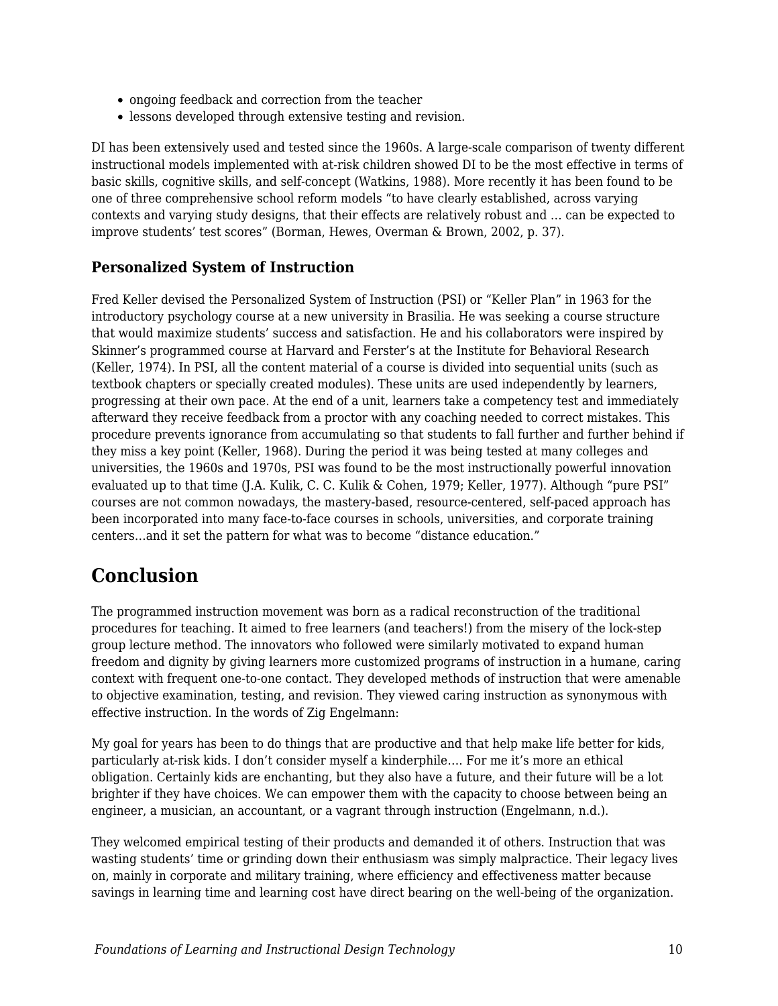- ongoing feedback and correction from the teacher
- lessons developed through extensive testing and revision.

DI has been extensively used and tested since the 1960s. A large-scale comparison of twenty different instructional models implemented with at-risk children showed DI to be the most effective in terms of basic skills, cognitive skills, and self-concept (Watkins, 1988). More recently it has been found to be one of three comprehensive school reform models "to have clearly established, across varying contexts and varying study designs, that their effects are relatively robust and … can be expected to improve students' test scores" (Borman, Hewes, Overman & Brown, 2002, p. 37).

#### **Personalized System of Instruction**

Fred Keller devised the Personalized System of Instruction (PSI) or "Keller Plan" in 1963 for the introductory psychology course at a new university in Brasilia. He was seeking a course structure that would maximize students' success and satisfaction. He and his collaborators were inspired by Skinner's programmed course at Harvard and Ferster's at the Institute for Behavioral Research (Keller, 1974). In PSI, all the content material of a course is divided into sequential units (such as textbook chapters or specially created modules). These units are used independently by learners, progressing at their own pace. At the end of a unit, learners take a competency test and immediately afterward they receive feedback from a proctor with any coaching needed to correct mistakes. This procedure prevents ignorance from accumulating so that students to fall further and further behind if they miss a key point (Keller, 1968). During the period it was being tested at many colleges and universities, the 1960s and 1970s, PSI was found to be the most instructionally powerful innovation evaluated up to that time (J.A. Kulik, C. C. Kulik & Cohen, 1979; Keller, 1977). Although "pure PSI" courses are not common nowadays, the mastery-based, resource-centered, self-paced approach has been incorporated into many face-to-face courses in schools, universities, and corporate training centers…and it set the pattern for what was to become "distance education."

## **Conclusion**

The programmed instruction movement was born as a radical reconstruction of the traditional procedures for teaching. It aimed to free learners (and teachers!) from the misery of the lock-step group lecture method. The innovators who followed were similarly motivated to expand human freedom and dignity by giving learners more customized programs of instruction in a humane, caring context with frequent one-to-one contact. They developed methods of instruction that were amenable to objective examination, testing, and revision. They viewed caring instruction as synonymous with effective instruction. In the words of Zig Engelmann:

My goal for years has been to do things that are productive and that help make life better for kids, particularly at-risk kids. I don't consider myself a kinderphile…. For me it's more an ethical obligation. Certainly kids are enchanting, but they also have a future, and their future will be a lot brighter if they have choices. We can empower them with the capacity to choose between being an engineer, a musician, an accountant, or a vagrant through instruction (Engelmann, n.d.).

They welcomed empirical testing of their products and demanded it of others. Instruction that was wasting students' time or grinding down their enthusiasm was simply malpractice. Their legacy lives on, mainly in corporate and military training, where efficiency and effectiveness matter because savings in learning time and learning cost have direct bearing on the well-being of the organization.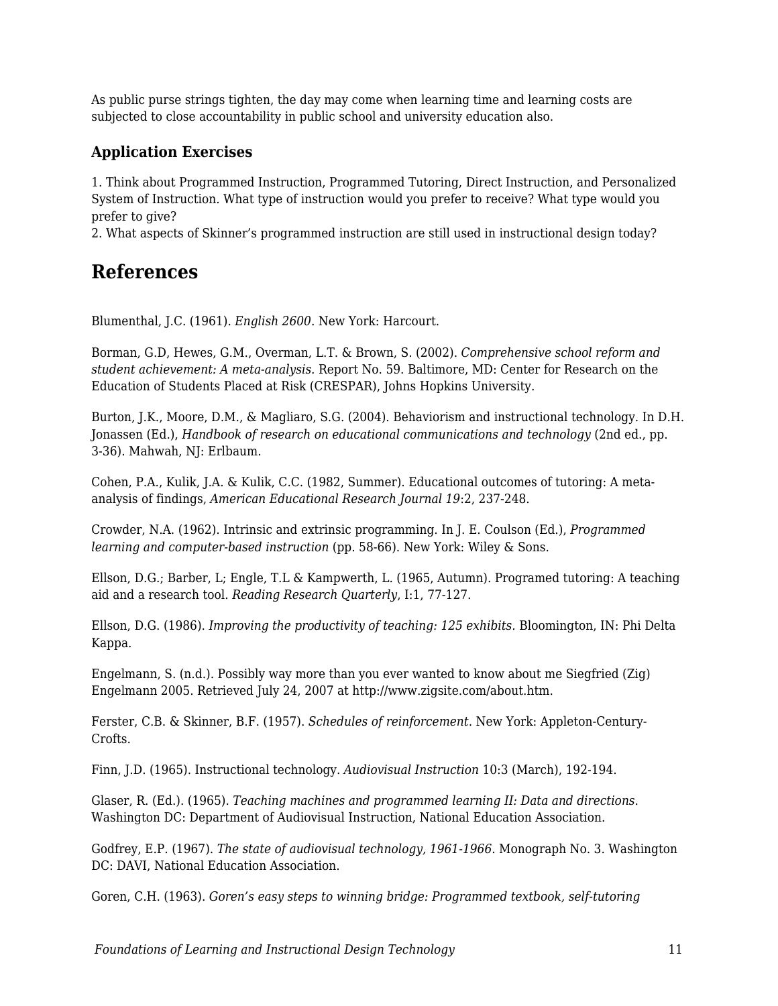As public purse strings tighten, the day may come when learning time and learning costs are subjected to close accountability in public school and university education also.

#### **Application Exercises**

1. Think about Programmed Instruction, Programmed Tutoring, Direct Instruction, and Personalized System of Instruction. What type of instruction would you prefer to receive? What type would you prefer to give?

2. What aspects of Skinner's programmed instruction are still used in instructional design today?

### **References**

Blumenthal, J.C. (1961). *English 2600*. New York: Harcourt.

Borman, G.D, Hewes, G.M., Overman, L.T. & Brown, S. (2002). *Comprehensive school reform and student achievement: A meta-analysis.* Report No. 59. Baltimore, MD: Center for Research on the Education of Students Placed at Risk (CRESPAR), Johns Hopkins University.

Burton, J.K., Moore, D.M., & Magliaro, S.G. (2004). Behaviorism and instructional technology. In D.H. Jonassen (Ed.), *Handbook of research on educational communications and technology* (2nd ed., pp. 3-36). Mahwah, NJ: Erlbaum.

Cohen, P.A., Kulik, J.A. & Kulik, C.C. (1982, Summer). Educational outcomes of tutoring: A metaanalysis of findings, *American Educational Research Journal 19*:2, 237-248.

Crowder, N.A. (1962). Intrinsic and extrinsic programming. In J. E. Coulson (Ed.), *Programmed learning and computer-based instruction* (pp. 58-66). New York: Wiley & Sons.

Ellson, D.G.; Barber, L; Engle, T.L & Kampwerth, L. (1965, Autumn). Programed tutoring: A teaching aid and a research tool. *Reading Research Quarterly*, I:1, 77-127.

Ellson, D.G. (1986). *Improving the productivity of teaching: 125 exhibits.* Bloomington, IN: Phi Delta Kappa.

Engelmann, S. (n.d.). Possibly way more than you ever wanted to know about me Siegfried (Zig) Engelmann 2005. Retrieved July 24, 2007 at http://www.zigsite.com/about.htm.

Ferster, C.B. & Skinner, B.F. (1957). *Schedules of reinforcement*. New York: Appleton-Century-Crofts.

Finn, J.D. (1965). Instructional technology. *Audiovisual Instruction* 10:3 (March), 192-194.

Glaser, R. (Ed.). (1965). *Teaching machines and programmed learning II: Data and directions*. Washington DC: Department of Audiovisual Instruction, National Education Association.

Godfrey, E.P. (1967). *The state of audiovisual technology, 1961-1966*. Monograph No. 3. Washington DC: DAVI, National Education Association.

Goren, C.H. (1963). *Goren's easy steps to winning bridge: Programmed textbook, self-tutoring*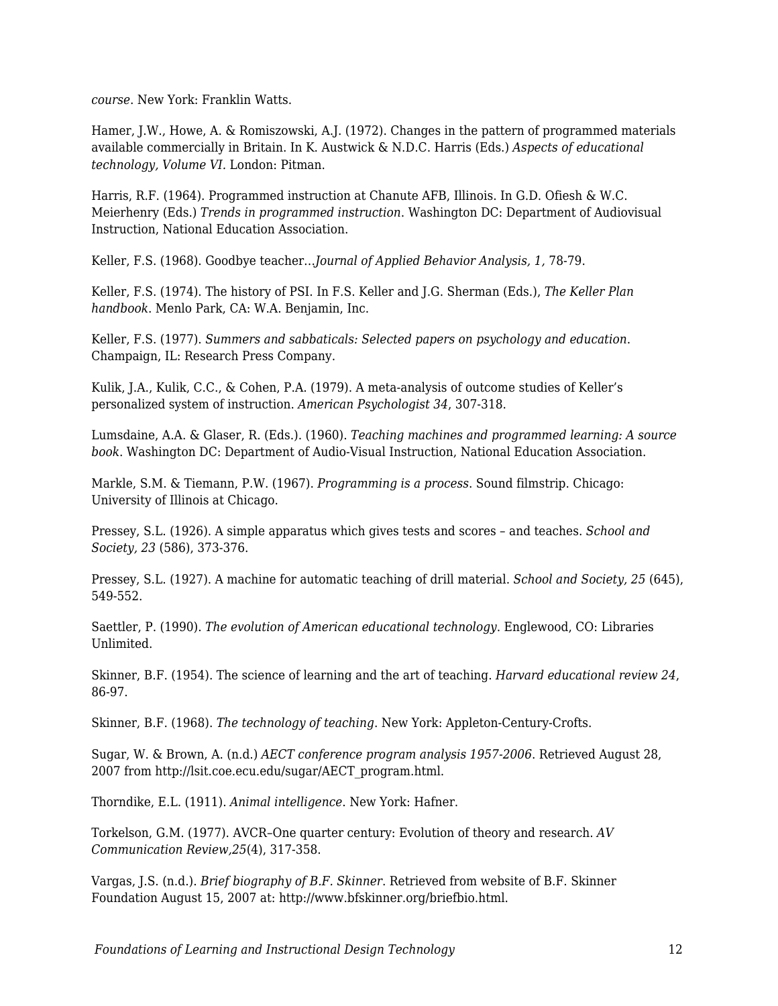*course*. New York: Franklin Watts.

Hamer, J.W., Howe, A. & Romiszowski, A.J. (1972). Changes in the pattern of programmed materials available commercially in Britain. In K. Austwick & N.D.C. Harris (Eds.) *Aspects of educational technology, Volume VI.* London: Pitman.

Harris, R.F. (1964). Programmed instruction at Chanute AFB, Illinois. In G.D. Ofiesh & W.C. Meierhenry (Eds.) *Trends in programmed instruction*. Washington DC: Department of Audiovisual Instruction, National Education Association.

Keller, F.S. (1968). Goodbye teacher…*Journal of Applied Behavior Analysis, 1,* 78-79.

Keller, F.S. (1974). The history of PSI. In F.S. Keller and J.G. Sherman (Eds.), *The Keller Plan handbook*. Menlo Park, CA: W.A. Benjamin, Inc.

Keller, F.S. (1977). *Summers and sabbaticals: Selected papers on psychology and education*. Champaign, IL: Research Press Company.

Kulik, J.A., Kulik, C.C., & Cohen, P.A. (1979). A meta-analysis of outcome studies of Keller's personalized system of instruction. *American Psychologist 34*, 307-318.

Lumsdaine, A.A. & Glaser, R. (Eds.). (1960). *Teaching machines and programmed learning: A source book*. Washington DC: Department of Audio-Visual Instruction, National Education Association.

Markle, S.M. & Tiemann, P.W. (1967). *Programming is a process*. Sound filmstrip. Chicago: University of Illinois at Chicago.

Pressey, S.L. (1926). A simple apparatus which gives tests and scores – and teaches. *School and Society, 23* (586), 373-376.

Pressey, S.L. (1927). A machine for automatic teaching of drill material. *School and Society, 25* (645), 549-552.

Saettler, P. (1990). *The evolution of American educational technology*. Englewood, CO: Libraries Unlimited.

Skinner, B.F. (1954). The science of learning and the art of teaching. *Harvard educational review 24*, 86-97.

Skinner, B.F. (1968). *The technology of teaching*. New York: Appleton-Century-Crofts.

Sugar, W. & Brown, A. (n.d.) *AECT conference program analysis 1957-2006*. Retrieved August 28, 2007 from http://lsit.coe.ecu.edu/sugar/AECT\_program.html.

Thorndike, E.L. (1911). *Animal intelligence*. New York: Hafner.

Torkelson, G.M. (1977). AVCR–One quarter century: Evolution of theory and research. *AV Communication Review,25*(4), 317-358.

Vargas, J.S. (n.d.). *Brief biography of B.F. Skinner*. Retrieved from website of B.F. Skinner Foundation August 15, 2007 at: http://www.bfskinner.org/briefbio.html.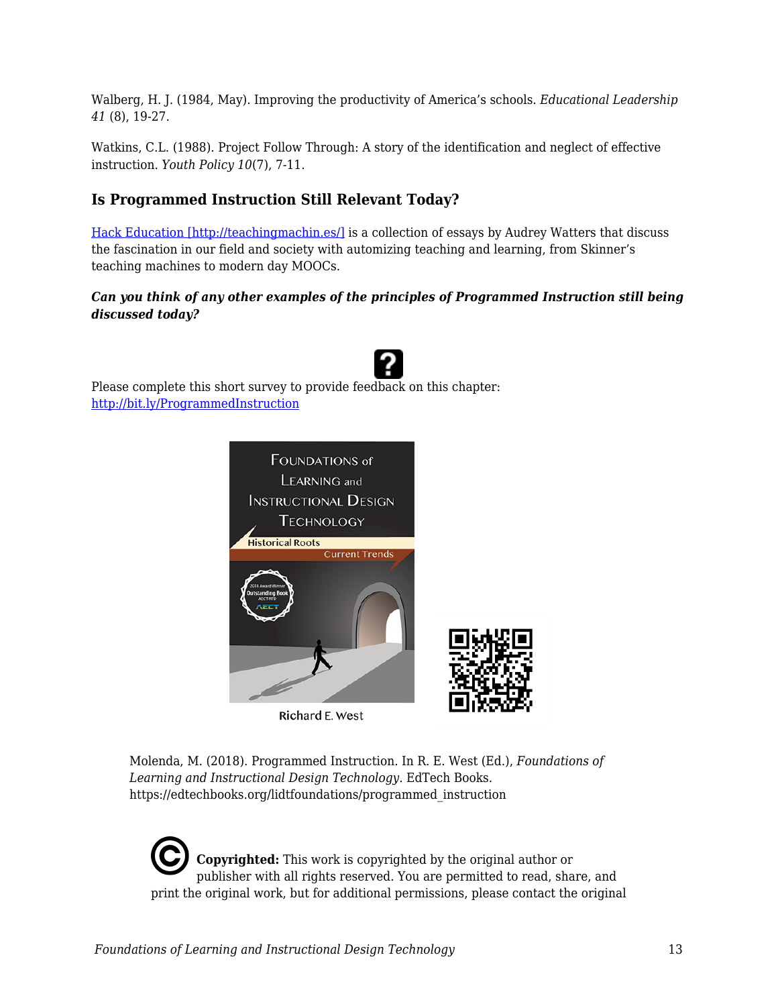Walberg, H. J. (1984, May). Improving the productivity of America's schools. *Educational Leadership 41* (8), 19-27.

Watkins, C.L. (1988). Project Follow Through: A story of the identification and neglect of effective instruction. *Youth Policy 10*(7), 7-11.

### **Is Programmed Instruction Still Relevant Today?**

[Hack Education \[http://teachingmachin.es/\]](http://teachingmachin.es/) is a collection of essays by Audrey Watters that discuss the fascination in our field and society with automizing teaching and learning, from Skinner's teaching machines to modern day MOOCs.

#### *Can you think of any other examples of the principles of Programmed Instruction still being discussed today?*

Please complete this short survey to provide feedback on this chapter: <http://bit.ly/ProgrammedInstruction>

![](_page_12_Picture_6.jpeg)

Richard E. West

Molenda, M. (2018). Programmed Instruction. In R. E. West (Ed.), *Foundations of Learning and Instructional Design Technology*. EdTech Books. https://edtechbooks.org/lidtfoundations/programmed\_instruction

**Copyrighted:** This work is copyrighted by the original author or publisher with all rights reserved. You are permitted to read, share, and print the original work, but for additional permissions, please contact the original